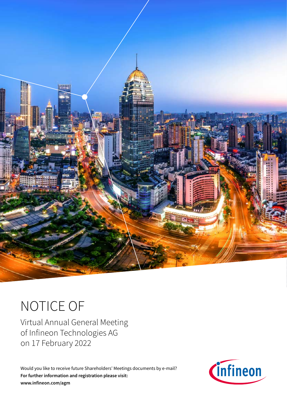

# NOTICE OF

Virtual Annual General Meeting of Infineon Technologies AG on 17 February 2022

Would you like to receive future Shareholders' Meetings documents by e-mail? **For further information and registration please visit: [www.infineon.com/agm](https://www.infineon.com/agm)**

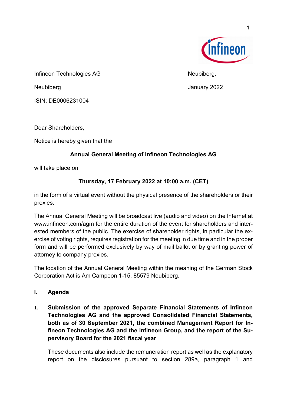

- 1 -

Infineon Technologies AG Neubiberg,

Neubiberg January 2022

ISIN: DE0006231004

Dear Shareholders,

Notice is hereby given that the

# **Annual General Meeting of Infineon Technologies AG**

will take place on

# **Thursday, 17 February 2022 at 10:00 a.m. (CET)**

in the form of a virtual event without the physical presence of the shareholders or their proxies.

The Annual General Meeting will be broadcast live (audio and video) on the Internet at [www.infineon.com/agm](https://www.infineon.com/agm) for the entire duration of the event for shareholders and interested members of the public. The exercise of shareholder rights, in particular the exercise of voting rights, requires registration for the meeting in due time and in the proper form and will be performed exclusively by way of mail ballot or by granting power of attorney to company proxies.

The location of the Annual General Meeting within the meaning of the German Stock Corporation Act is Am Campeon 1-15, 85579 Neubiberg.

- **I. Agenda**
- **1. Submission of the approved Separate Financial Statements of Infineon Technologies AG and the approved Consolidated Financial Statements, both as of 30 September 2021, the combined Management Report for Infineon Technologies AG and the Infineon Group, and the report of the Supervisory Board for the 2021 fiscal year**

These documents also include the remuneration report as well as the explanatory report on the disclosures pursuant to section 289a, paragraph 1 and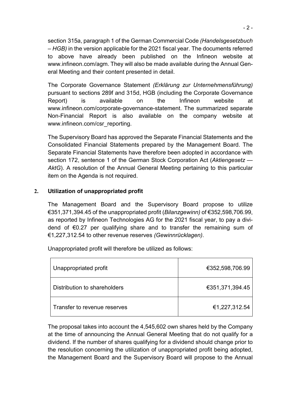section 315a, paragraph 1 of the German Commercial Code *(Handelsgesetzbuch – HGB)* in the version applicable for the 2021 fiscal year. The documents referred to above have already been published on the Infineon website at [www.infineon.com/agm.](https://www.infineon.com/agm) They will also be made available during the Annual General Meeting and their content presented in detail.

The Corporate Governance Statement *(Erklärung zur Unternehmensführung)* pursuant to sections 289f and 315d, HGB (including the Corporate Governance Report) is available on the Infineon website at [www.infineon.com/corporate-governance-statement.](https://www.infineon.com/corporate-governance-statement) The summarized separate Non-Financial Report is also available on the company website at [www.infineon.com/csr\\_reporting.](https://www.infineon.com/csr_reporting)

The Supervisory Board has approved the Separate Financial Statements and the Consolidated Financial Statements prepared by the Management Board. The Separate Financial Statements have therefore been adopted in accordance with section 172, sentence 1 of the German Stock Corporation Act (*Aktiengesetz — AktG*). A resolution of the Annual General Meeting pertaining to this particular item on the Agenda is not required.

#### **2. Utilization of unappropriated profit**

The Management Board and the Supervisory Board propose to utilize €351,371,394.45 of the unappropriated profit (*Bilanzgewinn)* of €352,598,706.99, as reported by Infineon Technologies AG for the 2021 fiscal year, to pay a dividend of €0.27 per qualifying share and to transfer the remaining sum of €1,227,312.54 to other revenue reserves *(Gewinnrücklagen)*.

Unappropriated profit will therefore be utilized as follows:

| Unappropriated profit        | €352,598,706.99 |
|------------------------------|-----------------|
| Distribution to shareholders | €351,371,394.45 |
| Transfer to revenue reserves | €1,227,312.54   |

The proposal takes into account the 4,545,602 own shares held by the Company at the time of announcing the Annual General Meeting that do not qualify for a dividend. If the number of shares qualifying for a dividend should change prior to the resolution concerning the utilization of unappropriated profit being adopted, the Management Board and the Supervisory Board will propose to the Annual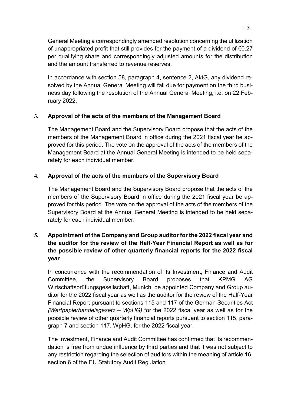General Meeting a correspondingly amended resolution concerning the utilization of unappropriated profit that still provides for the payment of a dividend of  $€0.27$ per qualifying share and correspondingly adjusted amounts for the distribution and the amount transferred to revenue reserves.

In accordance with section 58, paragraph 4, sentence 2, AktG, any dividend resolved by the Annual General Meeting will fall due for payment on the third business day following the resolution of the Annual General Meeting, i.e. on 22 February 2022.

# **3. Approval of the acts of the members of the Management Board**

The Management Board and the Supervisory Board propose that the acts of the members of the Management Board in office during the 2021 fiscal year be approved for this period. The vote on the approval of the acts of the members of the Management Board at the Annual General Meeting is intended to be held separately for each individual member.

# **4. Approval of the acts of the members of the Supervisory Board**

The Management Board and the Supervisory Board propose that the acts of the members of the Supervisory Board in office during the 2021 fiscal year be approved for this period. The vote on the approval of the acts of the members of the Supervisory Board at the Annual General Meeting is intended to be held separately for each individual member.

# **5. Appointment of the Company and Group auditor for the 2022 fiscal year and the auditor for the review of the Half-Year Financial Report as well as for the possible review of other quarterly financial reports for the 2022 fiscal year**

In concurrence with the recommendation of its Investment, Finance and Audit Committee, the Supervisory Board proposes that KPMG AG Wirtschaftsprüfungsgesellschaft, Munich, be appointed Company and Group auditor for the 2022 fiscal year as well as the auditor for the review of the Half-Year Financial Report pursuant to sections 115 and 117 of the German Securities Act *(Wertpapierhandelsgesetz – WpHG)* for the 2022 fiscal year as well as for the possible review of other quarterly financial reports pursuant to section 115, paragraph 7 and section 117, WpHG, for the 2022 fiscal year.

The Investment, Finance and Audit Committee has confirmed that its recommendation is free from undue influence by third parties and that it was not subject to any restriction regarding the selection of auditors within the meaning of article 16, section 6 of the EU Statutory Audit Regulation.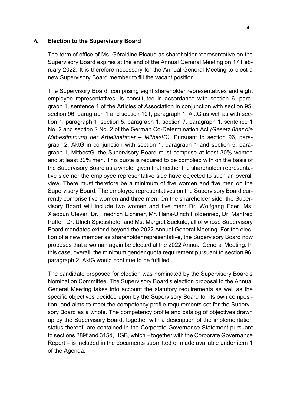#### **6. Election to the Supervisory Board**

The term of office of Ms. Géraldine Picaud as shareholder representative on the Supervisory Board expires at the end of the Annual General Meeting on 17 February 2022. It is therefore necessary for the Annual General Meeting to elect a new Supervisory Board member to fill the vacant position.

The Supervisory Board, comprising eight shareholder representatives and eight employee representatives, is constituted in accordance with section 6, paragraph 1, sentence 1 of the Articles of Association in conjunction with section 95, section 96, paragraph 1 and section 101, paragraph 1, AktG as well as with section 1, paragraph 1, section 5, paragraph 1, section 7, paragraph 1, sentence 1 No. 2 and section 2 No. 2 of the German Co-Determination Act *(Gesetz über die Mitbestimmung der Arbeitnehmer – MitbestG)*. Pursuant to section 96, paragraph 2, AktG in conjunction with section 1, paragraph 1 and section 5, paragraph 1, MitbestG, the Supervisory Board must comprise at least 30% women and at least 30% men. This quota is required to be complied with on the basis of the Supervisory Board as a whole, given that neither the shareholder representative side nor the employee representative side have objected to such an overall view. There must therefore be a minimum of five women and five men on the Supervisory Board. The employee representatives on the Supervisory Board currently comprise five women and three men. On the shareholder side, the Supervisory Board will include two women and five men: Dr. Wolfgang Eder, Ms. Xiaoqun Clever, Dr. Friedrich Eichiner, Mr. Hans-Ulrich Holdenried, Dr. Manfred Puffer, Dr. Ulrich Spiesshofer and Ms. Margret Suckale, all of whose Supervisory Board mandates extend beyond the 2022 Annual General Meeting. For the election of a new member as shareholder representative, the Supervisory Board now proposes that a woman again be elected at the 2022 Annual General Meeting. In this case, overall, the minimum gender quota requirement pursuant to section 96, paragraph 2, AktG would continue to be fulfilled.

The candidate proposed for election was nominated by the Supervisory Board's Nomination Committee. The Supervisory Board's election proposal to the Annual General Meeting takes into account the statutory requirements as well as the specific objectives decided upon by the Supervisory Board for its own composition, and aims to meet the competency profile requirements set for the Supervisory Board as a whole. The competency profile and catalog of objectives drawn up by the Supervisory Board, together with a description of the implementation status thereof, are contained in the Corporate Governance Statement pursuant to sections 289f and 315d, HGB, which – together with the Corporate Governance Report – is included in the documents submitted or made available under item 1 of the Agenda.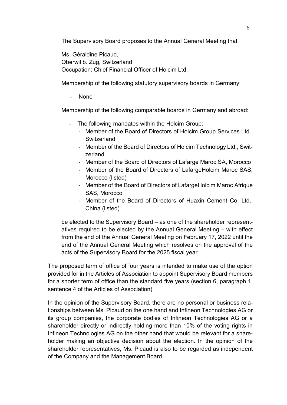The Supervisory Board proposes to the Annual General Meeting that

Ms. Géraldine Picaud, Oberwil b. Zug, Switzerland Occupation: Chief Financial Officer of Holcim Ltd.

Membership of the following statutory supervisory boards in Germany:

None

Membership of the following comparable boards in Germany and abroad:

- The following mandates within the Holcim Group:
	- Member of the Board of Directors of Holcim Group Services Ltd., **Switzerland**
	- Member of the Board of Directors of Holcim Technology Ltd., Switzerland
	- Member of the Board of Directors of Lafarge Maroc SA, Morocco
	- Member of the Board of Directors of LafargeHolcim Maroc SAS, Morocco (listed)
	- Member of the Board of Directors of LafargeHolcim Maroc Afrique SAS, Morocco
	- Member of the Board of Directors of Huaxin Cement Co, Ltd., China (listed)

be elected to the Supervisory Board – as one of the shareholder representatives required to be elected by the Annual General Meeting – with effect from the end of the Annual General Meeting on February 17, 2022 until the end of the Annual General Meeting which resolves on the approval of the acts of the Supervisory Board for the 2025 fiscal year.

The proposed term of office of four years is intended to make use of the option provided for in the Articles of Association to appoint Supervisory Board members for a shorter term of office than the standard five years (section 6, paragraph 1, sentence 4 of the Articles of Association).

In the opinion of the Supervisory Board, there are no personal or business relationships between Ms. Picaud on the one hand and Infineon Technologies AG or its group companies, the corporate bodies of Infineon Technologies AG or a shareholder directly or indirectly holding more than 10% of the voting rights in Infineon Technologies AG on the other hand that would be relevant for a shareholder making an objective decision about the election. In the opinion of the shareholder representatives, Ms. Picaud is also to be regarded as independent of the Company and the Management Board.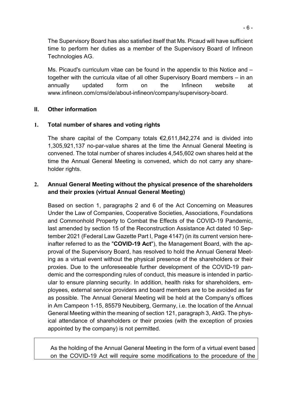The Supervisory Board has also satisfied itself that Ms. Picaud will have sufficient time to perform her duties as a member of the Supervisory Board of Infineon Technologies AG.

Ms. Picaud's curriculum vitae can be found in the appendix to this Notice and – together with the curricula vitae of all other Supervisory Board members – in an annually updated form on the Infineon website at [www.infineon.com/cms/de/about-infineon/company/supervisory-board.](https://www.infineon.com/cms/de/about-infineon/company/supervisory-board) 

#### **II. Other information**

#### **1. Total number of shares and voting rights**

The share capital of the Company totals  $\epsilon$ 2,611,842,274 and is divided into 1,305,921,137 no-par-value shares at the time the Annual General Meeting is convened. The total number of shares includes 4,545,602 own shares held at the time the Annual General Meeting is convened, which do not carry any shareholder rights.

#### **2. Annual General Meeting without the physical presence of the shareholders and their proxies (virtual Annual General Meeting)**

Based on section 1, paragraphs 2 and 6 of the Act Concerning on Measures Under the Law of Companies, Cooperative Societies, Associations, Foundations and Commonhold Property to Combat the Effects of the COVID-19 Pandemic, last amended by section 15 of the Reconstruction Assistance Act dated 10 September 2021 (Federal Law Gazette Part I, Page 4147) (in its current version hereinafter referred to as the "**COVID-19 Act**"), the Management Board, with the approval of the Supervisory Board, has resolved to hold the Annual General Meeting as a virtual event without the physical presence of the shareholders or their proxies. Due to the unforeseeable further development of the COVID-19 pandemic and the corresponding rules of conduct, this measure is intended in particular to ensure planning security. In addition, health risks for shareholders, employees, external service providers and board members are to be avoided as far as possible. The Annual General Meeting will be held at the Company's offices in Am Campeon 1-15, 85579 Neubiberg, Germany, i.e. the location of the Annual General Meeting within the meaning of section 121, paragraph 3, AktG. The physical attendance of shareholders or their proxies (with the exception of proxies appointed by the company) is not permitted.

As the holding of the Annual General Meeting in the form of a virtual event based on the COVID-19 Act will require some modifications to the procedure of the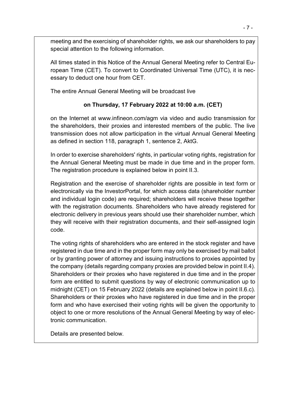meeting and the exercising of shareholder rights, we ask our shareholders to pay special attention to the following information.

All times stated in this Notice of the Annual General Meeting refer to Central European Time (CET). To convert to Coordinated Universal Time (UTC), it is necessary to deduct one hour from CET.

The entire Annual General Meeting will be broadcast live

# **on Thursday, 17 February 2022 at 10:00 a.m. (CET)**

on the Internet at [www.infineon.com/agm](https://www.infineon.com/agm) via video and audio transmission for the shareholders, their proxies and interested members of the public. The live transmission does not allow participation in the virtual Annual General Meeting as defined in section 118, paragraph 1, sentence 2, AktG.

In order to exercise shareholders' rights, in particular voting rights, registration for the Annual General Meeting must be made in due time and in the proper form. The registration procedure is explained below in point II.3.

Registration and the exercise of shareholder rights are possible in text form or electronically via the InvestorPortal, for which access data (shareholder number and individual login code) are required; shareholders will receive these together with the registration documents. Shareholders who have already registered for electronic delivery in previous years should use their shareholder number, which they will receive with their registration documents, and their self-assigned login code.

The voting rights of shareholders who are entered in the stock register and have registered in due time and in the proper form may only be exercised by mail ballot or by granting power of attorney and issuing instructions to proxies appointed by the company (details regarding company proxies are provided below in point II.4). Shareholders or their proxies who have registered in due time and in the proper form are entitled to submit questions by way of electronic communication up to midnight (CET) on 15 February 2022 (details are explained below in point II.6.c). Shareholders or their proxies who have registered in due time and in the proper form and who have exercised their voting rights will be given the opportunity to object to one or more resolutions of the Annual General Meeting by way of electronic communication.

Details are presented below.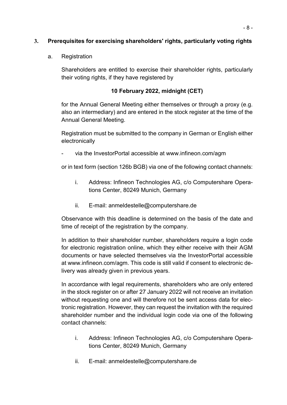#### **3. Prerequisites for exercising shareholders' rights, particularly voting rights**

#### a. Registration

Shareholders are entitled to exercise their shareholder rights, particularly their voting rights, if they have registered by

#### **10 February 2022, midnight (CET)**

for the Annual General Meeting either themselves or through a proxy (e.g. also an intermediary) and are entered in the stock register at the time of the Annual General Meeting.

Registration must be submitted to the company in German or English either electronically

via the InvestorPortal accessible at www.infineon.com/agm

or in text form (section 126b BGB) via one of the following contact channels:

- i. Address: Infineon Technologies AG, c/o Computershare Operations Center, 80249 Munich, Germany
- ii. E-mail: anmeldestelle@computershare.de

Observance with this deadline is determined on the basis of the date and time of receipt of the registration by the company.

In addition to their shareholder number, shareholders require a login code for electronic registration online, which they either receive with their AGM documents or have selected themselves via the InvestorPortal accessible at [www.infineon.com/agm.](https://www.infineon.com/agm) This code is still valid if consent to electronic delivery was already given in previous years.

In accordance with legal requirements, shareholders who are only entered in the stock register on or after 27 January 2022 will not receive an invitation without requesting one and will therefore not be sent access data for electronic registration. However, they can request the invitation with the required shareholder number and the individual login code via one of the following contact channels:

- i. Address: Infineon Technologies AG, c/o Computershare Operations Center, 80249 Munich, Germany
- ii. E-mail: anmeldestelle@computershare.de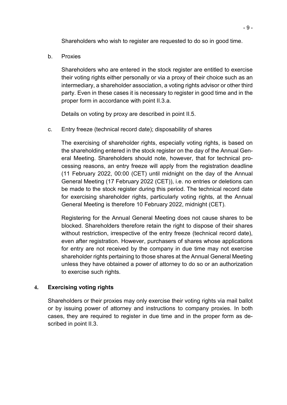Shareholders who wish to register are requested to do so in good time.

b. Proxies

Shareholders who are entered in the stock register are entitled to exercise their voting rights either personally or via a proxy of their choice such as an intermediary, a shareholder association, a voting rights advisor or other third party. Even in these cases it is necessary to register in good time and in the proper form in accordance with point II.3.a.

Details on voting by proxy are described in point II.5.

c. Entry freeze (technical record date); disposability of shares

The exercising of shareholder rights, especially voting rights, is based on the shareholding entered in the stock register on the day of the Annual General Meeting. Shareholders should note, however, that for technical processing reasons, an entry freeze will apply from the registration deadline (11 February 2022, 00:00 (CET) until midnight on the day of the Annual General Meeting (17 February 2022 (CET)), i.e. no entries or deletions can be made to the stock register during this period. The technical record date for exercising shareholder rights, particularly voting rights, at the Annual General Meeting is therefore 10 February 2022, midnight (CET).

Registering for the Annual General Meeting does not cause shares to be blocked. Shareholders therefore retain the right to dispose of their shares without restriction, irrespective of the entry freeze (technical record date), even after registration. However, purchasers of shares whose applications for entry are not received by the company in due time may not exercise shareholder rights pertaining to those shares at the Annual General Meeting unless they have obtained a power of attorney to do so or an authorization to exercise such rights.

#### **4. Exercising voting rights**

Shareholders or their proxies may only exercise their voting rights via mail ballot or by issuing power of attorney and instructions to company proxies. In both cases, they are required to register in due time and in the proper form as described in point II.3.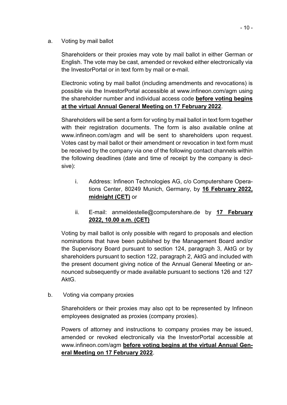a. Voting by mail ballot

Shareholders or their proxies may vote by mail ballot in either German or English. The vote may be cast, amended or revoked either electronically via the InvestorPortal or in text form by mail or e-mail.

Electronic voting by mail ballot (including amendments and revocations) is possible via the InvestorPortal accessible at [www.infineon.com/agm](https://www.infineon.com/agm) using the shareholder number and individual access code **before voting begins at the virtual Annual General Meeting on 17 February 2022**.

Shareholders will be sent a form for voting by mail ballot in text form together with their registration documents. The form is also available online at [www.infineon.com/agm](https://www.infineon.com/agm) and will be sent to shareholders upon request. Votes cast by mail ballot or their amendment or revocation in text form must be received by the company via one of the following contact channels within the following deadlines (date and time of receipt by the company is decisive):

- i. Address: Infineon Technologies AG, c/o Computershare Operations Center, 80249 Munich, Germany, by **16 February 2022, midnight (CET)** or
- ii. E-mail: anmeldestelle@computershare.de by **17 February 2022, 10.00 a.m. (CET)**

Voting by mail ballot is only possible with regard to proposals and election nominations that have been published by the Management Board and/or the Supervisory Board pursuant to section 124, paragraph 3, AktG or by shareholders pursuant to section 122, paragraph 2, AktG and included with the present document giving notice of the Annual General Meeting or announced subsequently or made available pursuant to sections 126 and 127 AktG.

b. Voting via company proxies

Shareholders or their proxies may also opt to be represented by Infineon employees designated as proxies (company proxies).

Powers of attorney and instructions to company proxies may be issued, amended or revoked electronically via the InvestorPortal accessible at [www.infineon.com/agm](https://www.infineon.com/agm) **before voting begins at the virtual Annual General Meeting on 17 February 2022**.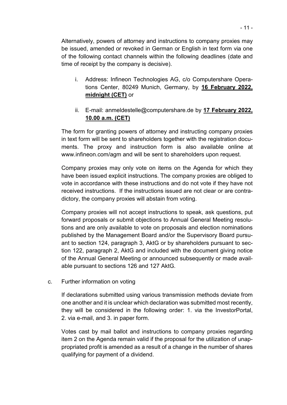Alternatively, powers of attorney and instructions to company proxies may be issued, amended or revoked in German or English in text form via one of the following contact channels within the following deadlines (date and time of receipt by the company is decisive).

- i. Address: Infineon Technologies AG, c/o Computershare Operations Center, 80249 Munich, Germany, by **16 February 2022, midnight (CET)** or
- ii. E-mail: anmeldestelle@computershare.de by **17 February 2022, 10.00 a.m. (CET)**

The form for granting powers of attorney and instructing company proxies in text form will be sent to shareholders together with the registration documents. The proxy and instruction form is also available online at [www.infineon.com/agm](https://www.infineon.com/agm) and will be sent to shareholders upon request.

Company proxies may only vote on items on the Agenda for which they have been issued explicit instructions. The company proxies are obliged to vote in accordance with these instructions and do not vote if they have not received instructions. If the instructions issued are not clear or are contradictory, the company proxies will abstain from voting.

Company proxies will not accept instructions to speak, ask questions, put forward proposals or submit objections to Annual General Meeting resolutions and are only available to vote on proposals and election nominations published by the Management Board and/or the Supervisory Board pursuant to section 124, paragraph 3, AktG or by shareholders pursuant to section 122, paragraph 2, AktG and included with the document giving notice of the Annual General Meeting or announced subsequently or made available pursuant to sections 126 and 127 AktG.

c. Further information on voting

If declarations submitted using various transmission methods deviate from one another and it is unclear which declaration was submitted most recently, they will be considered in the following order: 1. via the InvestorPortal, 2. via e-mail, and 3. in paper form.

Votes cast by mail ballot and instructions to company proxies regarding item 2 on the Agenda remain valid if the proposal for the utilization of unappropriated profit is amended as a result of a change in the number of shares qualifying for payment of a dividend.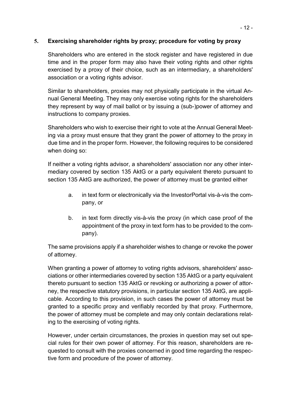#### **5. Exercising shareholder rights by proxy; procedure for voting by proxy**

Shareholders who are entered in the stock register and have registered in due time and in the proper form may also have their voting rights and other rights exercised by a proxy of their choice, such as an intermediary, a shareholders' association or a voting rights advisor.

Similar to shareholders, proxies may not physically participate in the virtual Annual General Meeting. They may only exercise voting rights for the shareholders they represent by way of mail ballot or by issuing a (sub-)power of attorney and instructions to company proxies.

Shareholders who wish to exercise their right to vote at the Annual General Meeting via a proxy must ensure that they grant the power of attorney to the proxy in due time and in the proper form. However, the following requires to be considered when doing so:

If neither a voting rights advisor, a shareholders' association nor any other intermediary covered by section 135 AktG or a party equivalent thereto pursuant to section 135 AktG are authorized, the power of attorney must be granted either

- a. in text form or electronically via the InvestorPortal vis-à-vis the company, or
- b. in text form directly vis-à-vis the proxy (in which case proof of the appointment of the proxy in text form has to be provided to the company).

The same provisions apply if a shareholder wishes to change or revoke the power of attorney.

When granting a power of attorney to voting rights advisors, shareholders' associations or other intermediaries covered by section 135 AktG or a party equivalent thereto pursuant to section 135 AktG or revoking or authorizing a power of attorney, the respective statutory provisions, in particular section 135 AktG, are applicable. According to this provision, in such cases the power of attorney must be granted to a specific proxy and verifiably recorded by that proxy. Furthermore, the power of attorney must be complete and may only contain declarations relating to the exercising of voting rights.

However, under certain circumstances, the proxies in question may set out special rules for their own power of attorney. For this reason, shareholders are requested to consult with the proxies concerned in good time regarding the respective form and procedure of the power of attorney.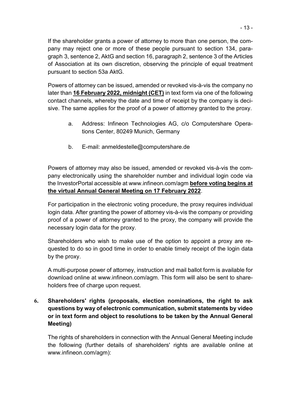If the shareholder grants a power of attorney to more than one person, the company may reject one or more of these people pursuant to section 134, paragraph 3, sentence 2, AktG and section 16, paragraph 2, sentence 3 of the Articles of Association at its own discretion, observing the principle of equal treatment pursuant to section 53a AktG.

Powers of attorney can be issued, amended or revoked vis-à-vis the company no later than **16 February 2022, midnight (CET)** in text form via one of the following contact channels, whereby the date and time of receipt by the company is decisive. The same applies for the proof of a power of attorney granted to the proxy.

- a. Address: Infineon Technologies AG, c/o Computershare Operations Center, 80249 Munich, Germany
- b. E-mail: anmeldestelle@computershare.de

Powers of attorney may also be issued, amended or revoked vis-à-vis the company electronically using the shareholder number and individual login code via the InvestorPortal accessible at [www.infineon.com/agm](https://www.infineon.com/agm) **before voting begins at the virtual Annual General Meeting on 17 February 2022**.

For participation in the electronic voting procedure, the proxy requires individual login data. After granting the power of attorney vis-à-vis the company or providing proof of a power of attorney granted to the proxy, the company will provide the necessary login data for the proxy.

Shareholders who wish to make use of the option to appoint a proxy are requested to do so in good time in order to enable timely receipt of the login data by the proxy.

A multi-purpose power of attorney, instruction and mail ballot form is available for download online at [www.infineon.com/agm.](https://www.infineon.com/agm) This form will also be sent to shareholders free of charge upon request.

# **6. Shareholders' rights (proposals, election nominations, the right to ask questions by way of electronic communication, submit statements by video or in text form and object to resolutions to be taken by the Annual General Meeting)**

The rights of shareholders in connection with the Annual General Meeting include the following (further details of shareholders' rights are available online at [www.infineon.com/agm\):](https://www.infineon.com/agm)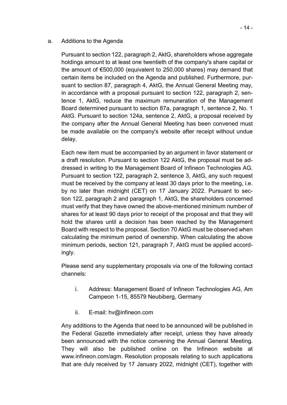#### a. Additions to the Agenda

Pursuant to section 122, paragraph 2, AktG, shareholders whose aggregate holdings amount to at least one twentieth of the company's share capital or the amount of €500,000 (equivalent to 250,000 shares) may demand that certain items be included on the Agenda and published. Furthermore, pursuant to section 87, paragraph 4, AktG, the Annual General Meeting may, in accordance with a proposal pursuant to section 122, paragraph 2, sentence 1, AktG, reduce the maximum remuneration of the Management Board determined pursuant to section 87a, paragraph 1, sentence 2, No. 1 AktG. Pursuant to section 124a, sentence 2, AktG, a proposal received by the company after the Annual General Meeting has been convened must be made available on the company's website after receipt without undue delay.

Each new item must be accompanied by an argument in favor statement or a draft resolution. Pursuant to section 122 AktG, the proposal must be addressed in writing to the Management Board of Infineon Technologies AG. Pursuant to section 122, paragraph 2, sentence 3, AktG, any such request must be received by the company at least 30 days prior to the meeting, i.e. by no later than midnight (CET) on 17 January 2022. Pursuant to section 122, paragraph 2 and paragraph 1, AktG, the shareholders concerned must verify that they have owned the above-mentioned minimum number of shares for at least 90 days prior to receipt of the proposal and that they will hold the shares until a decision has been reached by the Management Board with respect to the proposal. Section 70 AktG must be observed when calculating the minimum period of ownership. When calculating the above minimum periods, section 121, paragraph 7, AktG must be applied accordingly.

Please send any supplementary proposals via one of the following contact channels:

- i. Address: Management Board of Infineon Technologies AG, Am Campeon 1-15, 85579 Neubiberg, Germany
- ii. E-mail: hv@infineon.com

Any additions to the Agenda that need to be announced will be published in the Federal Gazette immediately after receipt, unless they have already been announced with the notice convening the Annual General Meeting. They will also be published online on the Infineon website at [www.infineon.com/agm.](https://www.infineon.com/agm) Resolution proposals relating to such applications that are duly received by 17 January 2022, midnight (CET), together with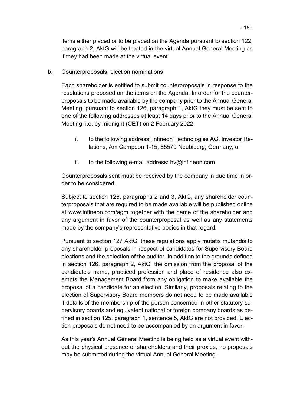items either placed or to be placed on the Agenda pursuant to section 122, paragraph 2, AktG will be treated in the virtual Annual General Meeting as if they had been made at the virtual event.

b. Counterproposals; election nominations

Each shareholder is entitled to submit counterproposals in response to the resolutions proposed on the items on the Agenda. In order for the counterproposals to be made available by the company prior to the Annual General Meeting, pursuant to section 126, paragraph 1, AktG they must be sent to one of the following addresses at least 14 days prior to the Annual General Meeting, i.e. by midnight (CET) on 2 February 2022

- i. to the following address: Infineon Technologies AG, Investor Relations, Am Campeon 1-15, 85579 Neubiberg, Germany, or
- ii. to the following e-mail address:  $hv@infineon.com$

Counterproposals sent must be received by the company in due time in order to be considered.

Subject to section 126, paragraphs 2 and 3, AktG, any shareholder counterproposals that are required to be made available will be published online at [www.infineon.com/agm](https://www.infineon.com/agm) together with the name of the shareholder and any argument in favor of the counterproposal as well as any statements made by the company's representative bodies in that regard.

Pursuant to section 127 AktG, these regulations apply mutatis mutandis to any shareholder proposals in respect of candidates for Supervisory Board elections and the selection of the auditor. In addition to the grounds defined in section 126, paragraph 2, AktG, the omission from the proposal of the candidate's name, practiced profession and place of residence also exempts the Management Board from any obligation to make available the proposal of a candidate for an election. Similarly, proposals relating to the election of Supervisory Board members do not need to be made available if details of the membership of the person concerned in other statutory supervisory boards and equivalent national or foreign company boards as defined in section 125, paragraph 1, sentence 5, AktG are not provided. Election proposals do not need to be accompanied by an argument in favor.

As this year's Annual General Meeting is being held as a virtual event without the physical presence of shareholders and their proxies, no proposals may be submitted during the virtual Annual General Meeting.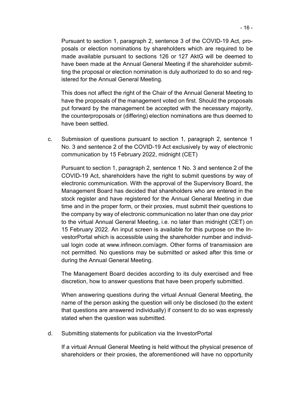Pursuant to section 1, paragraph 2, sentence 3 of the COVID-19 Act, proposals or election nominations by shareholders which are required to be made available pursuant to sections 126 or 127 AktG will be deemed to have been made at the Annual General Meeting if the shareholder submitting the proposal or election nomination is duly authorized to do so and registered for the Annual General Meeting.

This does not affect the right of the Chair of the Annual General Meeting to have the proposals of the management voted on first. Should the proposals put forward by the management be accepted with the necessary majority, the counterproposals or (differing) election nominations are thus deemed to have been settled.

c. Submission of questions pursuant to section 1, paragraph 2, sentence 1 No. 3 and sentence 2 of the COVID-19 Act exclusively by way of electronic communication by 15 February 2022, midnight (CET)

Pursuant to section 1, paragraph 2, sentence 1 No. 3 and sentence 2 of the COVID-19 Act, shareholders have the right to submit questions by way of electronic communication. With the approval of the Supervisory Board, the Management Board has decided that shareholders who are entered in the stock register and have registered for the Annual General Meeting in due time and in the proper form, or their proxies, must submit their questions to the company by way of electronic communication no later than one day prior to the virtual Annual General Meeting, i.e. no later than midnight (CET) on 15 February 2022. An input screen is available for this purpose on the InvestorPortal which is accessible using the shareholder number and individual login code at [www.infineon.com/agm.](https://www.infineon.com/agm) Other forms of transmission are not permitted. No questions may be submitted or asked after this time or during the Annual General Meeting.

The Management Board decides according to its duly exercised and free discretion, how to answer questions that have been properly submitted.

When answering questions during the virtual Annual General Meeting, the name of the person asking the question will only be disclosed (to the extent that questions are answered individually) if consent to do so was expressly stated when the question was submitted.

d. Submitting statements for publication via the InvestorPortal

If a virtual Annual General Meeting is held without the physical presence of shareholders or their proxies, the aforementioned will have no opportunity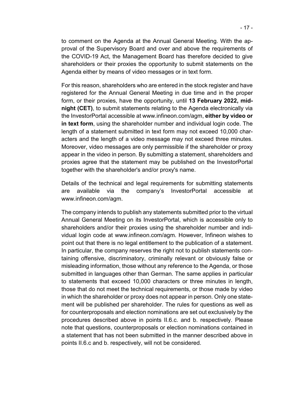to comment on the Agenda at the Annual General Meeting. With the approval of the Supervisory Board and over and above the requirements of the COVID-19 Act, the Management Board has therefore decided to give shareholders or their proxies the opportunity to submit statements on the Agenda either by means of video messages or in text form.

For this reason, shareholders who are entered in the stock register and have registered for the Annual General Meeting in due time and in the proper form, or their proxies, have the opportunity, until **13 February 2022, midnight (CET)**, to submit statements relating to the Agenda electronically via the InvestorPortal accessible at [www.infineon.com/agm,](https://www.infineon.com/agm) **either by video or in text form**, using the shareholder number and individual login code. The length of a statement submitted in text form may not exceed 10,000 characters and the length of a video message may not exceed three minutes. Moreover, video messages are only permissible if the shareholder or proxy appear in the video in person. By submitting a statement, shareholders and proxies agree that the statement may be published on the InvestorPortal together with the shareholder's and/or proxy's name.

Details of the technical and legal requirements for submitting statements are available via the company's InvestorPortal accessible at [www.infineon.com/agm.](https://www.infineon.com/agm)

The company intends to publish any statements submitted prior to the virtual Annual General Meeting on its InvestorPortal, which is accessible only to shareholders and/or their proxies using the shareholder number and individual login code at [www.infineon.com/agm.](https://www.infineon.com/agm) However, Infineon wishes to point out that there is no legal entitlement to the publication of a statement. In particular, the company reserves the right not to publish statements containing offensive, discriminatory, criminally relevant or obviously false or misleading information, those without any reference to the Agenda, or those submitted in languages other than German. The same applies in particular to statements that exceed 10,000 characters or three minutes in length, those that do not meet the technical requirements, or those made by video in which the shareholder or proxy does not appear in person. Only one statement will be published per shareholder. The rules for questions as well as for counterproposals and election nominations are set out exclusively by the procedures described above in points II.6.c. and b. respectively. Please note that questions, counterproposals or election nominations contained in a statement that has not been submitted in the manner described above in points II.6.c and b. respectively, will not be considered.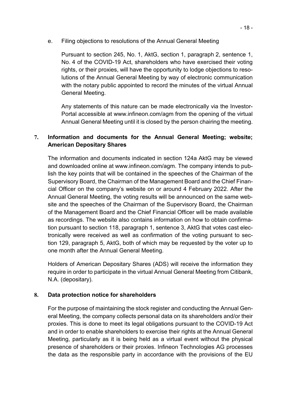e. Filing objections to resolutions of the Annual General Meeting

Pursuant to section 245, No. 1, AktG, section 1, paragraph 2, sentence 1, No. 4 of the COVID-19 Act, shareholders who have exercised their voting rights, or their proxies, will have the opportunity to lodge objections to resolutions of the Annual General Meeting by way of electronic communication with the notary public appointed to record the minutes of the virtual Annual General Meeting.

Any statements of this nature can be made electronically via the Investor-Portal accessible at [www.infineon.com/agm f](https://www.infineon.com/agm)rom the opening of the virtual Annual General Meeting until it is closed by the person chairing the meeting.

#### **7. Information and documents for the Annual General Meeting; website; American Depositary Shares**

The information and documents indicated in section 124a AktG may be viewed and downloaded online at [www.infineon.com/agm.](https://www.infineon.com/agm) The company intends to publish the key points that will be contained in the speeches of the Chairman of the Supervisory Board, the Chairman of the Management Board and the Chief Financial Officer on the company's website on or around 4 February 2022. After the Annual General Meeting, the voting results will be announced on the same website and the speeches of the Chairman of the Supervisory Board, the Chairman of the Management Board and the Chief Financial Officer will be made available as recordings. The website also contains information on how to obtain confirmation pursuant to section 118, paragraph 1, sentence 3, AktG that votes cast electronically were received as well as confirmation of the voting pursuant to section 129, paragraph 5, AktG, both of which may be requested by the voter up to one month after the Annual General Meeting.

Holders of American Depositary Shares (ADS) will receive the information they require in order to participate in the virtual Annual General Meeting from Citibank, N.A. (depositary).

# **8. Data protection notice for shareholders**

For the purpose of maintaining the stock register and conducting the Annual General Meeting, the company collects personal data on its shareholders and/or their proxies. This is done to meet its legal obligations pursuant to the COVID-19 Act and in order to enable shareholders to exercise their rights at the Annual General Meeting, particularly as it is being held as a virtual event without the physical presence of shareholders or their proxies. Infineon Technologies AG processes the data as the responsible party in accordance with the provisions of the EU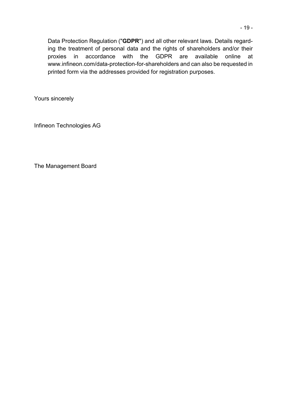Data Protection Regulation ("**GDPR**") and all other relevant laws. Details regarding the treatment of personal data and the rights of shareholders and/or their proxies in accordance with the GDPR are available online at [www.infineon.com/data-protection-for-shareholders](https://www.infineon.com/data-protection-for-shareholders) and can also be requested in printed form via the addresses provided for registration purposes.

Yours sincerely

Infineon Technologies AG

The Management Board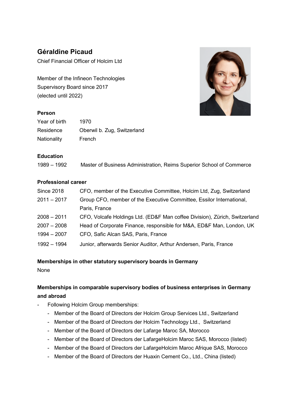# **Géraldine Picaud**

Chief Financial Officer of Holcim Ltd

Member of the Infineon Technologies Supervisory Board since 2017 (elected until 2022)

#### **Person**

| Year of birth | 1970                        |
|---------------|-----------------------------|
| Residence     | Oberwil b. Zug, Switzerland |
| Nationality   | French                      |



#### **Education**

1989 – 1992 Master of Business Administration, Reims Superior School of Commerce

#### **Professional career**

| <b>Since 2018</b> | CFO, member of the Executive Committee, Holcim Ltd, Zug, Switzerland       |
|-------------------|----------------------------------------------------------------------------|
| $2011 - 2017$     | Group CFO, member of the Executive Committee, Essilor International,       |
|                   | Paris, France                                                              |
| $2008 - 2011$     | CFO, Volcafe Holdings Ltd. (ED&F Man coffee Division), Zürich, Switzerland |
| $2007 - 2008$     | Head of Corporate Finance, responsible for M&A, ED&F Man, London, UK       |
| $1994 - 2007$     | CFO, Safic Alcan SAS, Paris, France                                        |
| 1992 - 1994       | Junior, afterwards Senior Auditor, Arthur Andersen, Paris, France          |

#### **Memberships in other statutory supervisory boards in Germany**

None

# **Memberships in comparable supervisory bodies of business enterprises in Germany and abroad**

- Following Holcim Group memberships:
	- Member of the Board of Directors der Holcim Group Services Ltd., Switzerland
	- Member of the Board of Directors der Holcim Technology Ltd., Switzerland
	- Member of the Board of Directors der Lafarge Maroc SA, Morocco
	- Member of the Board of Directors der LafargeHolcim Maroc SAS, Morocco (listed)
	- Member of the Board of Directors der LafargeHolcim Maroc Afrique SAS, Morocco
	- Member of the Board of Directors der Huaxin Cement Co., Ltd., China (listed)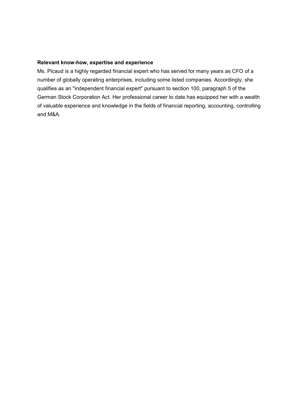#### **Relevant know-how, expertise and experience**

Ms. Picaud is a highly regarded financial expert who has served for many years as CFO of a number of globally operating enterprises, including some listed companies. Accordingly, she qualifies as an "independent financial expert" pursuant to section 100, paragraph 5 of the German Stock Corporation Act. Her professional career to date has equipped her with a wealth of valuable experience and knowledge in the fields of financial reporting, accounting, controlling and M&A.